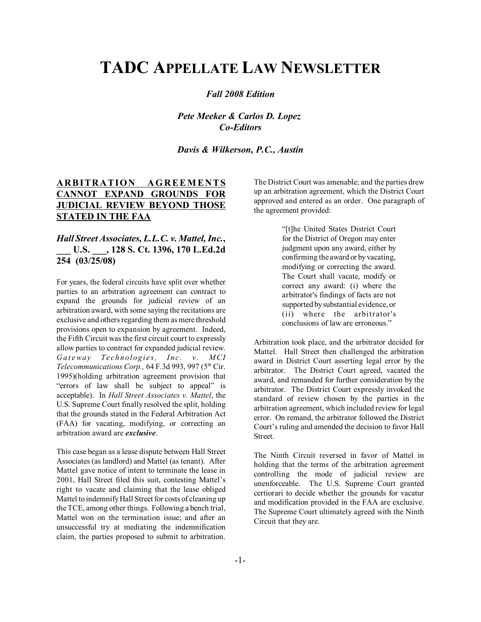# **TADC APPELLATE LAW NEWSLETTER**

#### *Fall 2008 Edition*

*Pete Meeker & Carlos D. Lopez Co-Editors*

*Davis & Wilkerson, P.C., Austin*

# **ARBITRATION AGREEMENTS CANNOT EXPAND GROUNDS FOR JUDICIAL REVIEW BEYOND THOSE STATED IN THE FAA**

## *Hall Street Associates, L.L.C. v. Mattel, Inc.***, \_\_\_ U.S. \_\_\_, 128 S. Ct. 1396, 170 L.Ed.2d 254 (03/25/08)**

For years, the federal circuits have split over whether parties to an arbitration agreement can contract to expand the grounds for judicial review of an arbitration award, with some saying the recitations are exclusive and others regarding them as mere threshold provisions open to expansion by agreement. Indeed, the Fifth Circuit was the first circuit court to expressly allow parties to contract for expanded judicial review. *Gateway Technologies, Inc. v. MCI Telecommunications Corp.,* 64 F.3d 993, 997 (5<sup>th</sup> Cir. 1995)(holding arbitration agreement provision that "errors of law shall be subject to appeal" is acceptable). In *Hall Street Associates v. Mattel*, the U.S. Supreme Court finally resolved the split, holding that the grounds stated in the Federal Arbitration Act (FAA) for vacating, modifying, or correcting an arbitration award are *exclusive*.

This case began as a lease dispute between Hall Street Associates (as landlord) and Mattel (as tenant). After Mattel gave notice of intent to terminate the lease in 2001, Hall Street filed this suit, contesting Mattel's right to vacate and claiming that the lease obliged Mattel to indemnify Hall Street for costs of cleaning up the TCE, among other things. Following a bench trial, Mattel won on the termination issue; and after an unsuccessful try at mediating the indemnification claim, the parties proposed to submit to arbitration.

The District Court was amenable; and the parties drew up an arbitration agreement, which the District Court approved and entered as an order. One paragraph of the agreement provided:

> "[t]he United States District Court for the District of Oregon may enter judgment upon any award, either by confirming the award or by vacating, modifying or correcting the award. The Court shall vacate, modify or correct any award: (i) where the arbitrator's findings of facts are not supported by substantial evidence, or (ii) where the arbitrator's conclusions of law are erroneous."

Arbitration took place, and the arbitrator decided for Mattel. Hall Street then challenged the arbitration award in District Court asserting legal error by the arbitrator. The District Court agreed, vacated the award, and remanded for further consideration by the arbitrator. The District Court expressly invoked the standard of review chosen by the parties in the arbitration agreement, which included review for legal error. On remand, the arbitrator followed the District Court's ruling and amended the decision to favor Hall **Street**.

The Ninth Circuit reversed in favor of Mattel in holding that the terms of the arbitration agreement controlling the mode of judicial review are unenforceable. The U.S. Supreme Court granted certiorari to decide whether the grounds for vacatur and modification provided in the FAA are exclusive. The Supreme Court ultimately agreed with the Ninth Circuit that they are.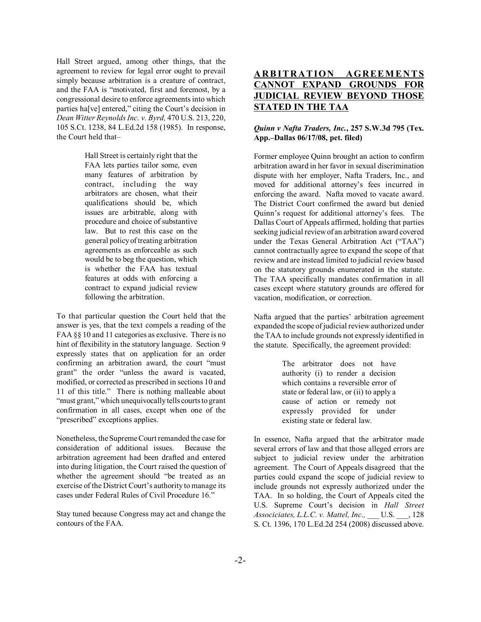Hall Street argued, among other things, that the agreement to review for legal error ought to prevail simply because arbitration is a creature of contract, and the FAA is "motivated, first and foremost, by a congressional desire to enforce agreements into which parties ha[ve] entered," citing the Court's decision in *Dean Witter Reynolds Inc. v. Byrd,* 470 U.S. 213, 220, 105 S.Ct. 1238, 84 L.Ed.2d 158 (1985). In response, the Court held that-

> Hall Street is certainly right that the FAA lets parties tailor some, even many features of arbitration by contract, including the way arbitrators are chosen, what their qualifications should be, which issues are arbitrable, along with procedure and choice of substantive law. But to rest this case on the general policy of treating arbitration agreements as enforceable as such would be to beg the question, which is whether the FAA has textual features at odds with enforcing a contract to expand judicial review following the arbitration.

To that particular question the Court held that the answer is yes, that the text compels a reading of the FAA §§ 10 and 11 categories as exclusive. There is no hint of flexibility in the statutory language. Section 9 expressly states that on application for an order confirming an arbitration award, the court "must grant" the order "unless the award is vacated, modified, or corrected as prescribed in sections 10 and 11 of this title." There is nothing malleable about "must grant," which unequivocally tells courts to grant confirmation in all cases, except when one of the "prescribed" exceptions applies.

Nonetheless, the Supreme Court remanded the case for consideration of additional issues. Because the arbitration agreement had been drafted and entered into during litigation, the Court raised the question of whether the agreement should "be treated as an exercise of the District Court's authority to manage its cases under Federal Rules of Civil Procedure 16.<sup>7</sup>

Stay tuned because Congress may act and change the contours of the FAA.

# **ARBITRATION AGREEMENTS CANNOT EXPAND GROUNDS FOR JUDICIAL REVIEW BEYOND THOSE STATED IN THE TAA**

#### *Quinn v Nafta Traders, Inc.***, 257 S.W.3d 795 (Tex.** App.–Dallas 06/17/08, pet. filed)

Former employee Quinn brought an action to confirm arbitration award in her favor in sexual discrimination dispute with her employer, Nafta Traders, Inc., and moved for additional attorney's fees incurred in enforcing the award. Nafta moved to vacate award. The District Court confirmed the award but denied Quinn's request for additional attorney's fees. The Dallas Court of Appeals affirmed, holding that parties seeking judicial review of an arbitration award covered under the Texas General Arbitration Act ("TAA") cannot contractually agree to expand the scope of that review and are instead limited to judicial review based on the statutory grounds enumerated in the statute. The TAA specifically mandates confirmation in all cases except where statutory grounds are offered for vacation, modification, or correction.

Nafta argued that the parties' arbitration agreement expanded the scope of judicial review authorized under the TAA to include grounds not expressly identified in the statute. Specifically, the agreement provided:

> The arbitrator does not have authority (i) to render a decision which contains a reversible error of state or federal law, or (ii) to apply a cause of action or remedy not expressly provided for under existing state or federal law.

In essence, Nafta argued that the arbitrator made several errors of law and that those alleged errors are subject to judicial review under the arbitration agreement. The Court of Appeals disagreed that the parties could expand the scope of judicial review to include grounds not expressly authorized under the TAA. In so holding, the Court of Appeals cited the U.S. Supreme Court's decision in *Hall Street Associciates, L.L.C. v. Mattel, Inc.,* \_\_\_ U.S. \_\_\_, 128 S. Ct. 1396, 170 L.Ed.2d 254 (2008) discussed above.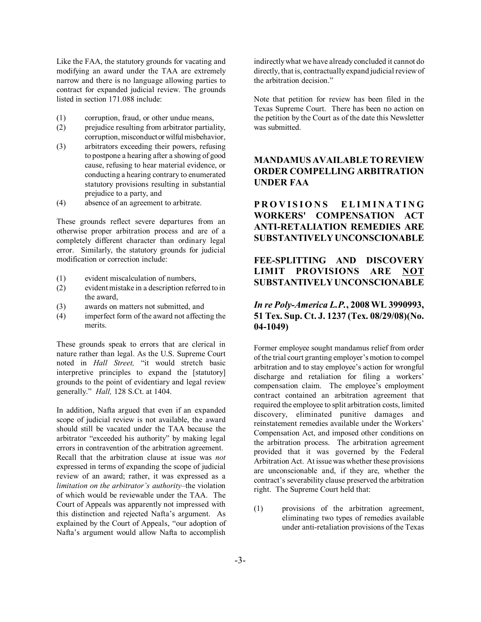Like the FAA, the statutory grounds for vacating and modifying an award under the TAA are extremely narrow and there is no language allowing parties to contract for expanded judicial review. The grounds listed in section 171.088 include:

- (1) corruption, fraud, or other undue means,
- (2) prejudice resulting from arbitrator partiality, corruption, misconduct or wilful misbehavior,
- (3) arbitrators exceeding their powers, refusing to postpone a hearing after a showing of good cause, refusing to hear material evidence, or conducting a hearing contrary to enumerated statutory provisions resulting in substantial prejudice to a party, and
- (4) absence of an agreement to arbitrate.

These grounds reflect severe departures from an otherwise proper arbitration process and are of a completely different character than ordinary legal error. Similarly, the statutory grounds for judicial modification or correction include:

- (1) evident miscalculation of numbers,
- (2) evident mistake in a description referred to in the award,
- (3) awards on matters not submitted, and
- (4) imperfect form of the award not affecting the merits.

These grounds speak to errors that are clerical in nature rather than legal. As the U.S. Supreme Court noted in *Hall Street*, "it would stretch basic interpretive principles to expand the [statutory] grounds to the point of evidentiary and legal review generally.î *Hall,* 128 S.Ct. at 1404.

In addition, Nafta argued that even if an expanded scope of judicial review is not available, the award should still be vacated under the TAA because the arbitrator "exceeded his authority" by making legal errors in contravention of the arbitration agreement. Recall that the arbitration clause at issue was *not* expressed in terms of expanding the scope of judicial review of an award; rather, it was expressed as a *limitation on the arbitrator's authority*-the violation of which would be reviewable under the TAA. The Court of Appeals was apparently not impressed with this distinction and rejected Nafta's argument. As explained by the Court of Appeals, "our adoption of Naftaís argument would allow Nafta to accomplish

indirectly what we have already concluded it cannot do directly, that is, contractually expand judicial review of the arbitration decision."

Note that petition for review has been filed in the Texas Supreme Court. There has been no action on the petition by the Court as of the date this Newsletter was submitted.

# **MANDAMUS AVAILABLE TO REVIEW ORDER COMPELLING ARBITRATION UNDER FAA**

# **PROVISIONS ELIMINATING WORKERS' COMPENSATION ACT ANTI-RETALIATION REMEDIES ARE SUBSTANTIVELY UNCONSCIONABLE**

# **FEE-SPLITTING AND DISCOVERY LIMIT PROVISIONS ARE NOT SUBSTANTIVELY UNCONSCIONABLE**

## *In re Poly-America L.P.***, 2008 WL 3990993, 51 Tex. Sup. Ct. J. 1237 (Tex. 08/29/08)(No. 04-1049)**

Former employee sought mandamus relief from order of the trial court granting employer's motion to compel arbitration and to stay employee's action for wrongful discharge and retaliation for filing a workers' compensation claim. The employee's employment contract contained an arbitration agreement that required the employee to split arbitration costs, limited discovery, eliminated punitive damages and reinstatement remedies available under the Workers' Compensation Act, and imposed other conditions on the arbitration process. The arbitration agreement provided that it was governed by the Federal Arbitration Act. At issue was whether these provisions are unconscionable and, if they are, whether the contract's severability clause preserved the arbitration right. The Supreme Court held that:

(1) provisions of the arbitration agreement, eliminating two types of remedies available under anti-retaliation provisions of the Texas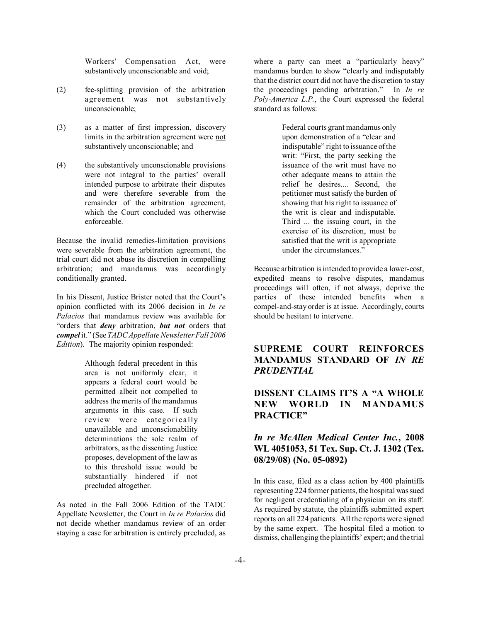Workers' Compensation Act, were substantively unconscionable and void;

- (2) fee-splitting provision of the arbitration agreement was not substantively unconscionable;
- (3) as a matter of first impression, discovery limits in the arbitration agreement were not substantively unconscionable; and
- (4) the substantively unconscionable provisions were not integral to the parties' overall intended purpose to arbitrate their disputes and were therefore severable from the remainder of the arbitration agreement, which the Court concluded was otherwise enforceable.

Because the invalid remedies-limitation provisions were severable from the arbitration agreement, the trial court did not abuse its discretion in compelling arbitration; and mandamus was accordingly conditionally granted.

In his Dissent, Justice Brister noted that the Court's opinion conflicted with its 2006 decision in *In re Palacios* that mandamus review was available for ìorders that *deny* arbitration, *but not* orders that *compel* it.î (See *TADC Appellate Newsletter Fall 2006 Edition*). The majority opinion responded:

> Although federal precedent in this area is not uniformly clear, it appears a federal court would be permitted-albeit not compelled-to address the merits of the mandamus arguments in this case. If such review were categorically unavailable and unconscionability determinations the sole realm of arbitrators, as the dissenting Justice proposes, development of the law as to this threshold issue would be substantially hindered if not precluded altogether.

As noted in the Fall 2006 Edition of the TADC Appellate Newsletter, the Court in *In re Palacios* did not decide whether mandamus review of an order staying a case for arbitration is entirely precluded, as

where a party can meet a "particularly heavy" mandamus burden to show "clearly and indisputably that the district court did not have the discretion to stay the proceedings pending arbitration.<sup>"</sup> In *In re Poly-America L.P.*, the Court expressed the federal standard as follows:

> Federal courts grant mandamus only upon demonstration of a "clear and indisputable" right to issuance of the writ: "First, the party seeking the issuance of the writ must have no other adequate means to attain the relief he desires.... Second, the petitioner must satisfy the burden of showing that his right to issuance of the writ is clear and indisputable. Third ... the issuing court, in the exercise of its discretion, must be satisfied that the writ is appropriate under the circumstances."

Because arbitration is intended to provide a lower-cost, expedited means to resolve disputes, mandamus proceedings will often, if not always, deprive the parties of these intended benefits when a compel-and-stay order is at issue. Accordingly, courts should be hesitant to intervene.

# **SUPREME COURT REINFORCES MANDAMUS STANDARD OF** *IN RE PRUDENTIAL*

# **DISSENT CLAIMS IT'S A "A WHOLE NEW WORLD IN MANDAMUS PRACTICEî**

# *In re McAllen Medical Center Inc.***, 2008 WL 4051053, 51 Tex. Sup. Ct. J. 1302 (Tex. 08/29/08) (No. 05-0892)**

In this case, filed as a class action by 400 plaintiffs representing 224 former patients, the hospital was sued for negligent credentialing of a physician on its staff. As required by statute, the plaintiffs submitted expert reports on all 224 patients. All the reports were signed by the same expert. The hospital filed a motion to dismiss, challenging the plaintiffs' expert; and the trial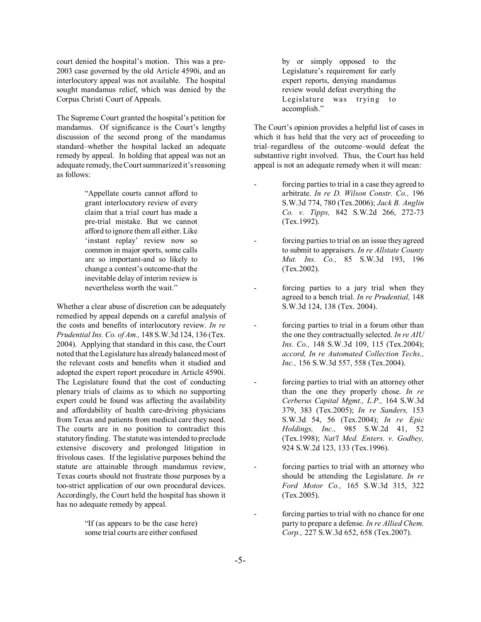court denied the hospital's motion. This was a pre-2003 case governed by the old Article 4590i, and an interlocutory appeal was not available. The hospital sought mandamus relief, which was denied by the Corpus Christi Court of Appeals.

The Supreme Court granted the hospital's petition for mandamus. Of significance is the Court's lengthy discussion of the second prong of the mandamus standard-whether the hospital lacked an adequate remedy by appeal. In holding that appeal was not an adequate remedy, the Court summarized it's reasoning as follows:

> "Appellate courts cannot afford to grant interlocutory review of every claim that a trial court has made a pre-trial mistake. But we cannot afford to ignore them all either. Like 'instant replay' review now so common in major sports, some calls are so important-and so likely to change a contest's outcome-that the inevitable delay of interim review is nevertheless worth the wait."

Whether a clear abuse of discretion can be adequately remedied by appeal depends on a careful analysis of the costs and benefits of interlocutory review. *In re Prudential Ins. Co. of Am.,* 148 S.W.3d 124, 136 (Tex. 2004). Applying that standard in this case, the Court noted that the Legislature has already balanced most of the relevant costs and benefits when it studied and adopted the expert report procedure in Article 4590i. The Legislature found that the cost of conducting plenary trials of claims as to which no supporting expert could be found was affecting the availability and affordability of health care-driving physicians from Texas and patients from medical care they need. The courts are in no position to contradict this statutory finding. The statute was intended to preclude extensive discovery and prolonged litigation in frivolous cases. If the legislative purposes behind the statute are attainable through mandamus review, Texas courts should not frustrate those purposes by a too-strict application of our own procedural devices. Accordingly, the Court held the hospital has shown it has no adequate remedy by appeal.

> "If (as appears to be the case here) some trial courts are either confused

by or simply opposed to the Legislature's requirement for early expert reports, denying mandamus review would defeat everything the Legislature was trying to accomplish."

The Court's opinion provides a helpful list of cases in which it has held that the very act of proceeding to trial–regardless of the outcome–would defeat the substantive right involved. Thus, the Court has held appeal is not an adequate remedy when it will mean:

- forcing parties to trial in a case they agreed to arbitrate. *In re D. Wilson Constr. Co.,* 196 S.W.3d 774, 780 (Tex.2006); *Jack B. Anglin Co. v. Tipps,* 842 S.W.2d 266, 272-73 (Tex.1992).
- forcing parties to trial on an issue they agreed to submit to appraisers. *In re Allstate County Mut. Ins. Co.,* 85 S.W.3d 193, 196 (Tex.2002).
- forcing parties to a jury trial when they agreed to a bench trial. *In re Prudential,* 148 S.W.3d 124, 138 (Tex. 2004).
- forcing parties to trial in a forum other than the one they contractually selected. *In re AIU Ins. Co.,* 148 S.W.3d 109, 115 (Tex.2004); *accord, In re Automated Collection Techs., Inc.,* 156 S.W.3d 557, 558 (Tex.2004).
- forcing parties to trial with an attorney other than the one they properly chose. *In re Cerberus Capital Mgmt., L.P.,* 164 S.W.3d 379, 383 (Tex.2005); *In re Sanders,* 153 S.W.3d 54, 56 (Tex.2004); *In re Epic Holdings, Inc.,* 985 S.W.2d 41, 52 (Tex.1998); *Nat'l Med. Enters. v. Godbey,* 924 S.W.2d 123, 133 (Tex.1996).
- forcing parties to trial with an attorney who should be attending the Legislature. *In re Ford Motor Co.,* 165 S.W.3d 315, 322 (Tex.2005).
- forcing parties to trial with no chance for one party to prepare a defense. *In re Allied Chem. Corp.,* 227 S.W.3d 652, 658 (Tex.2007).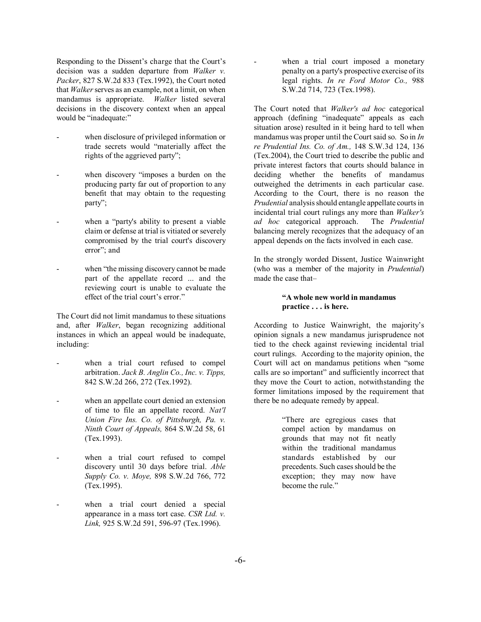Responding to the Dissent's charge that the Court's decision was a sudden departure from *Walker v. Packer*, 827 S.W.2d 833 (Tex.1992), the Court noted that *Walker* serves as an example, not a limit, on when mandamus is appropriate. *Walker* listed several decisions in the discovery context when an appeal would be "inadequate:"

- when disclosure of privileged information or trade secrets would "materially affect the rights of the aggrieved party";
- when discovery "imposes a burden on the producing party far out of proportion to any benefit that may obtain to the requesting party";
- when a "party's ability to present a viable claim or defense at trial is vitiated or severely compromised by the trial court's discovery error"; and
- when "the missing discovery cannot be made" part of the appellate record ... and the reviewing court is unable to evaluate the effect of the trial court's error."

The Court did not limit mandamus to these situations and, after *Walker*, began recognizing additional instances in which an appeal would be inadequate, including:

- when a trial court refused to compel arbitration. *Jack B. Anglin Co., Inc. v. Tipps,* 842 S.W.2d 266, 272 (Tex.1992).
- when an appellate court denied an extension of time to file an appellate record. *Nat'l Union Fire Ins. Co. of Pittsburgh, Pa. v. Ninth Court of Appeals,* 864 S.W.2d 58, 61 (Tex.1993).
- when a trial court refused to compel discovery until 30 days before trial. *Able Supply Co. v. Moye,* 898 S.W.2d 766, 772 (Tex.1995).
- when a trial court denied a special appearance in a mass tort case. *CSR Ltd. v. Link,* 925 S.W.2d 591, 596-97 (Tex.1996).

when a trial court imposed a monetary penalty on a party's prospective exercise of its legal rights. *In re Ford Motor Co.,* 988 S.W.2d 714, 723 (Tex.1998).

The Court noted that *Walker's ad hoc* categorical approach (defining "inadequate" appeals as each situation arose) resulted in it being hard to tell when mandamus was proper until the Court said so. So in *In re Prudential Ins. Co. of Am.,* 148 S.W.3d 124, 136 (Tex.2004), the Court tried to describe the public and private interest factors that courts should balance in deciding whether the benefits of mandamus outweighed the detriments in each particular case. According to the Court, there is no reason the *Prudential* analysis should entangle appellate courts in incidental trial court rulings any more than *Walker's ad hoc* categorical approach. The *Prudential* balancing merely recognizes that the adequacy of an appeal depends on the facts involved in each case.

In the strongly worded Dissent, Justice Wainwright (who was a member of the majority in *Prudential*) made the case that-

#### **ìA whole new world in mandamus practice . . . is here.**

According to Justice Wainwright, the majority's opinion signals a new mandamus jurisprudence not tied to the check against reviewing incidental trial court rulings. According to the majority opinion, the Court will act on mandamus petitions when "some calls are so important" and sufficiently incorrect that they move the Court to action, notwithstanding the former limitations imposed by the requirement that there be no adequate remedy by appeal.

> ìThere are egregious cases that compel action by mandamus on grounds that may not fit neatly within the traditional mandamus standards established by our precedents. Such cases should be the exception; they may now have become the rule.<sup>"</sup>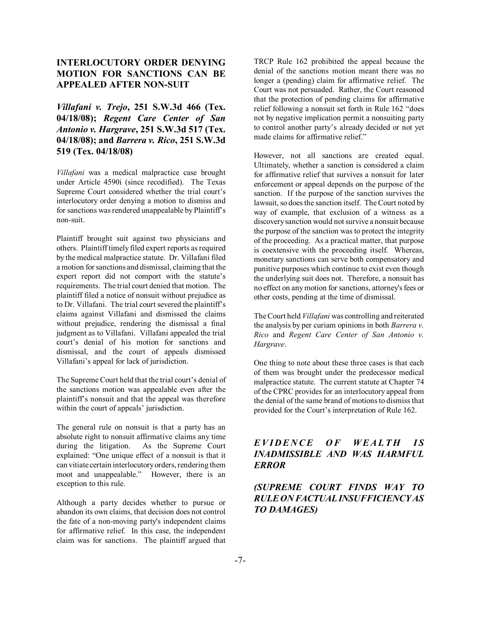# **INTERLOCUTORY ORDER DENYING MOTION FOR SANCTIONS CAN BE APPEALED AFTER NON-SUIT**

*Villafani v. Trejo***, 251 S.W.3d 466 (Tex. 04/18/08);** *Regent Care Center of San Antonio v. Hargrave***, 251 S.W.3d 517 (Tex. 04/18/08); and** *Barrera v. Rico***, 251 S.W.3d 519 (Tex. 04/18/08)**

*Villafani* was a medical malpractice case brought under Article 4590i (since recodified). The Texas Supreme Court considered whether the trial court's interlocutory order denying a motion to dismiss and for sanctions was rendered unappealable by Plaintiff's non-suit.

Plaintiff brought suit against two physicians and others. Plaintiff timely filed expert reports as required by the medical malpractice statute. Dr. Villafani filed a motion for sanctions and dismissal, claiming that the expert report did not comport with the statute's requirements. The trial court denied that motion. The plaintiff filed a notice of nonsuit without prejudice as to Dr. Villafani. The trial court severed the plaintiff's claims against Villafani and dismissed the claims without prejudice, rendering the dismissal a final judgment as to Villafani. Villafani appealed the trial court's denial of his motion for sanctions and dismissal, and the court of appeals dismissed Villafani's appeal for lack of jurisdiction.

The Supreme Court held that the trial court's denial of the sanctions motion was appealable even after the plaintiff's nonsuit and that the appeal was therefore within the court of appeals' jurisdiction.

The general rule on nonsuit is that a party has an absolute right to nonsuit affirmative claims any time during the litigation. As the Supreme Court explained: "One unique effect of a nonsuit is that it can vitiate certain interlocutory orders, rendering them moot and unappealable." However, there is an exception to this rule.

Although a party decides whether to pursue or abandon its own claims, that decision does not control the fate of a non-moving party's independent claims for affirmative relief. In this case, the independent claim was for sanctions. The plaintiff argued that

TRCP Rule 162 prohibited the appeal because the denial of the sanctions motion meant there was no longer a (pending) claim for affirmative relief. The Court was not persuaded. Rather, the Court reasoned that the protection of pending claims for affirmative relief following a nonsuit set forth in Rule 162 "does not by negative implication permit a nonsuiting party to control another party's already decided or not yet made claims for affirmative relief."

However, not all sanctions are created equal. Ultimately, whether a sanction is considered a claim for affirmative relief that survives a nonsuit for later enforcement or appeal depends on the purpose of the sanction. If the purpose of the sanction survives the lawsuit, so does the sanction itself. The Court noted by way of example, that exclusion of a witness as a discovery sanction would not survive a nonsuit because the purpose of the sanction was to protect the integrity of the proceeding. As a practical matter, that purpose is coextensive with the proceeding itself. Whereas, monetary sanctions can serve both compensatory and punitive purposes which continue to exist even though the underlying suit does not. Therefore, a nonsuit has no effect on any motion for sanctions, attorney's fees or other costs, pending at the time of dismissal.

The Court held *Villafani* was controlling and reiterated the analysis by per curiam opinions in both *Barrera v. Rico* and *Regent Care Center of San Antonio v. Hargrave*.

One thing to note about these three cases is that each of them was brought under the predecessor medical malpractice statute. The current statute at Chapter 74 of the CPRC provides for an interlocutory appeal from the denial of the same brand of motions to dismiss that provided for the Court's interpretation of Rule 162.

## *EVIDENCE OF WEALTH IS INADMISSIBLE AND WAS HARMFUL ERROR*

# *(SUPREME COURT FINDS WAY TO RULE ON FACTUAL INSUFFICIENCY AS TO DAMAGES)*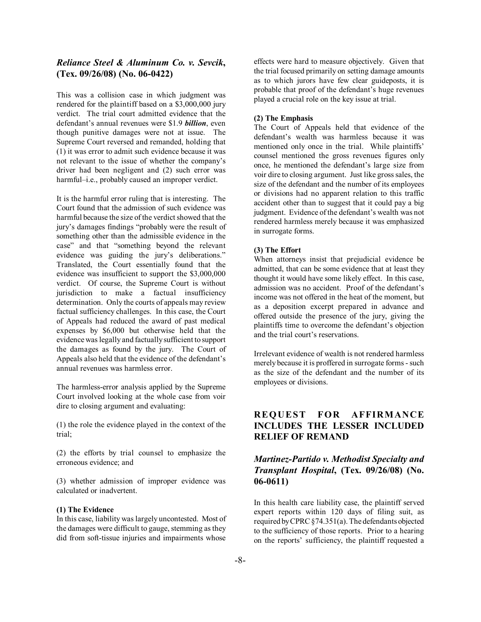#### *Reliance Steel & Aluminum Co. v. Sevcik***, (Tex. 09/26/08) (No. 06-0422)**

This was a collision case in which judgment was rendered for the plaintiff based on a \$3,000,000 jury verdict. The trial court admitted evidence that the defendantís annual revenues were \$1.9 *billion*, even though punitive damages were not at issue. The Supreme Court reversed and remanded, holding that (1) it was error to admit such evidence because it was not relevant to the issue of whether the companyís driver had been negligent and (2) such error was harmful-i.e., probably caused an improper verdict.

It is the harmful error ruling that is interesting. The Court found that the admission of such evidence was harmful because the size of the verdict showed that the jury's damages findings "probably were the result of something other than the admissible evidence in the case" and that "something beyond the relevant evidence was guiding the jury's deliberations." Translated, the Court essentially found that the evidence was insufficient to support the \$3,000,000 verdict. Of course, the Supreme Court is without jurisdiction to make a factual insufficiency determination. Only the courts of appeals may review factual sufficiency challenges. In this case, the Court of Appeals had reduced the award of past medical expenses by \$6,000 but otherwise held that the evidence was legally and factually sufficient to support the damages as found by the jury. The Court of Appeals also held that the evidence of the defendant's annual revenues was harmless error.

The harmless-error analysis applied by the Supreme Court involved looking at the whole case from voir dire to closing argument and evaluating:

(1) the role the evidence played in the context of the trial;

(2) the efforts by trial counsel to emphasize the erroneous evidence; and

(3) whether admission of improper evidence was calculated or inadvertent.

#### **(1) The Evidence**

In this case, liability was largely uncontested. Most of the damages were difficult to gauge, stemming as they did from soft-tissue injuries and impairments whose

effects were hard to measure objectively. Given that the trial focused primarily on setting damage amounts as to which jurors have few clear guideposts, it is probable that proof of the defendant's huge revenues played a crucial role on the key issue at trial.

#### **(2) The Emphasis**

The Court of Appeals held that evidence of the defendant's wealth was harmless because it was mentioned only once in the trial. While plaintiffs' counsel mentioned the gross revenues figures only once, he mentioned the defendant's large size from voir dire to closing argument. Just like gross sales, the size of the defendant and the number of its employees or divisions had no apparent relation to this traffic accident other than to suggest that it could pay a big judgment. Evidence of the defendant's wealth was not rendered harmless merely because it was emphasized in surrogate forms.

#### **(3) The Effort**

When attorneys insist that prejudicial evidence be admitted, that can be some evidence that at least they thought it would have some likely effect. In this case, admission was no accident. Proof of the defendant's income was not offered in the heat of the moment, but as a deposition excerpt prepared in advance and offered outside the presence of the jury, giving the plaintiffs time to overcome the defendant's objection and the trial court's reservations.

Irrelevant evidence of wealth is not rendered harmless merely because it is proffered in surrogate forms - such as the size of the defendant and the number of its employees or divisions.

# **REQUEST FOR AFFIRMANCE INCLUDES THE LESSER INCLUDED RELIEF OF REMAND**

## *Martinez-Partido v. Methodist Specialty and Transplant Hospital***, (Tex. 09/26/08) (No. 06-0611)**

In this health care liability case, the plaintiff served expert reports within 120 days of filing suit, as required by CPRC ß74.351(a). The defendants objected to the sufficiency of those reports. Prior to a hearing on the reports' sufficiency, the plaintiff requested a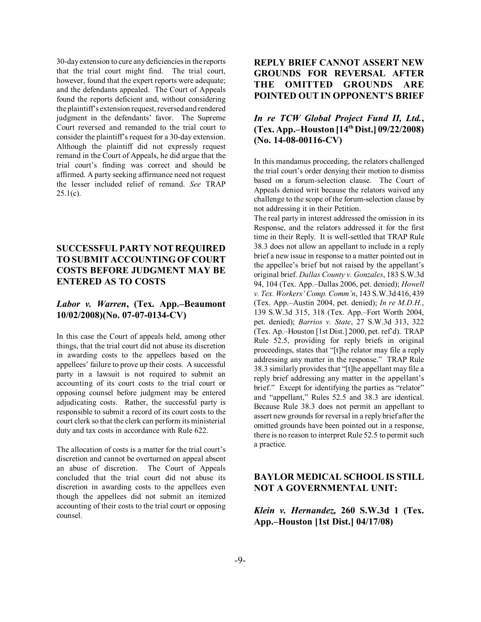30-day extension to cure any deficiencies in the reports that the trial court might find. The trial court, however, found that the expert reports were adequate; and the defendants appealed. The Court of Appeals found the reports deficient and, without considering the plaintiff's extension request, reversed and rendered judgment in the defendants' favor. The Supreme Court reversed and remanded to the trial court to consider the plaintiff's request for a 30-day extension. Although the plaintiff did not expressly request remand in the Court of Appeals, he did argue that the trial court's finding was correct and should be affirmed. A party seeking affirmance need not request the lesser included relief of remand. *See* TRAP  $25.1(c)$ .

# **SUCCESSFUL PARTY NOT REQUIRED TO SUBMIT ACCOUNTING OF COURT COSTS BEFORE JUDGMENT MAY BE ENTERED AS TO COSTS**

#### Labor v. Warren, (Tex. App.–Beaumont **10/02/2008)(No. 07-07-0134-CV)**

In this case the Court of appeals held, among other things, that the trial court did not abuse its discretion in awarding costs to the appellees based on the appellees' failure to prove up their costs. A successful party in a lawsuit is not required to submit an accounting of its court costs to the trial court or opposing counsel before judgment may be entered adjudicating costs. Rather, the successful party is responsible to submit a record of its court costs to the court clerk so that the clerk can perform its ministerial duty and tax costs in accordance with Rule 622.

The allocation of costs is a matter for the trial court's discretion and cannot be overturned on appeal absent an abuse of discretion. The Court of Appeals concluded that the trial court did not abuse its discretion in awarding costs to the appellees even though the appellees did not submit an itemized accounting of their costs to the trial court or opposing counsel.

# **REPLY BRIEF CANNOT ASSERT NEW GROUNDS FOR REVERSAL AFTER THE OMITTED GROUNDS ARE POINTED OUT IN OPPONENT'S BRIEF**

# *In re TCW Global Project Fund II, Ltd.***, (Tex. App.–Houston [14<sup>th</sup> Dist.] 09/22/2008) (No. 14-08-00116-CV)**

In this mandamus proceeding, the relators challenged the trial court's order denying their motion to dismiss based on a forum-selection clause. The Court of Appeals denied writ because the relators waived any challenge to the scope of the forum-selection clause by not addressing it in their Petition.

The real party in interest addressed the omission in its Response, and the relators addressed it for the first time in their Reply. It is well-settled that TRAP Rule 38.3 does not allow an appellant to include in a reply brief a new issue in response to a matter pointed out in the appellee's brief but not raised by the appellant's original brief. *Dallas County v. Gonzales*, 183 S.W.3d 94, 104 (Tex. App.-Dallas 2006, pet. denied); *Howell v. Tex. Workersí Comp. Commín*, 143 S.W.3d 416, 439 (Tex. App.–Austin 2004, pet. denied); *In re M.D.H.*, 139 S.W.3d 315, 318 (Tex. App.–Fort Worth 2004, pet. denied); *Barrios v. State*, 27 S.W.3d 313, 322 (Tex. Ap.–Houston [1st Dist.] 2000, pet. ref<sup>3</sup>d). TRAP Rule 52.5, providing for reply briefs in original proceedings, states that "[t]he relator may file a reply addressing any matter in the response." TRAP Rule  $38.3$  similarly provides that "[t]he appellant may file a reply brief addressing any matter in the appellant's brief." Except for identifying the parties as "relator" and "appellant," Rules 52.5 and 38.3 are identical. Because Rule 38.3 does not permit an appellant to assert new grounds for reversal in a reply brief after the omitted grounds have been pointed out in a response, there is no reason to interpret Rule 52.5 to permit such a practice.

# **BAYLOR MEDICAL SCHOOL IS STILL NOT A GOVERNMENTAL UNIT:**

## *Klein v. Hernandez,* **260 S.W.3d 1 (Tex.** App.–Houston [1st Dist.] 04/17/08)